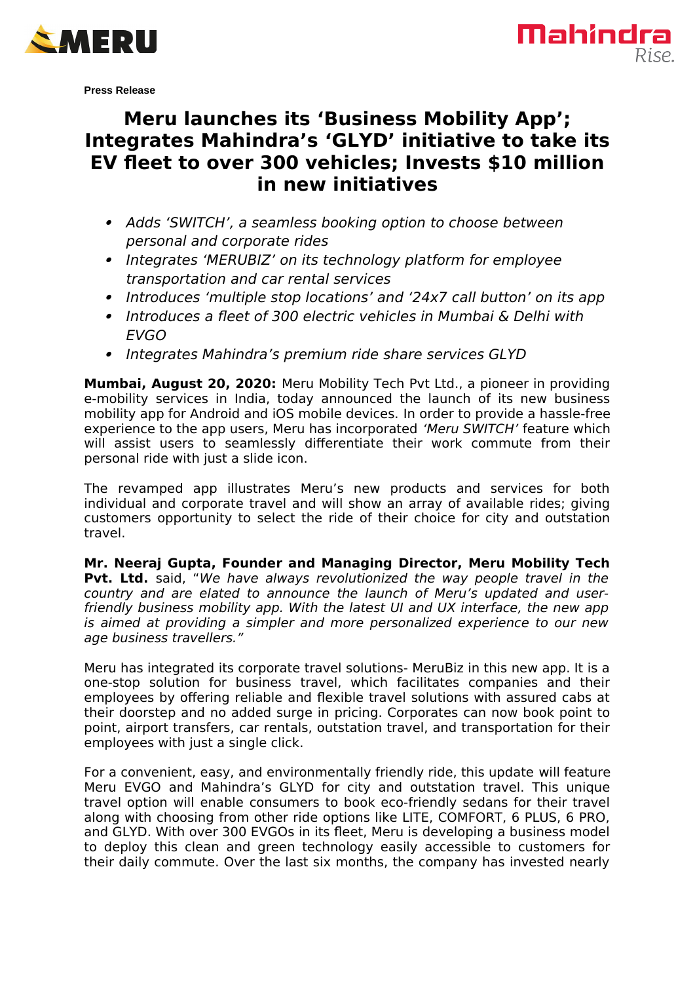



**Press Release**

## **Meru launches its 'Business Mobility App'; Integrates Mahindra's 'GLYD' initiative to take its EV fleet to over 300 vehicles; Invests \$10 million in new initiatives**

- Adds 'SWITCH', a seamless booking option to choose between personal and corporate rides
- Integrates 'MERUBIZ' on its technology platform for employee transportation and car rental services
- Introduces 'multiple stop locations' and '24x7 call button' on its app
- $\bullet$  Introduces a fleet of 300 electric vehicles in Mumbai & Delhi with EVGO
- Integrates Mahindra's premium ride share services GLYD

**Mumbai, August 20, 2020:** Meru Mobility Tech Pvt Ltd., a pioneer in providing e-mobility services in India, today announced the launch of its new business mobility app for Android and iOS mobile devices. In order to provide a hassle-free experience to the app users, Meru has incorporated 'Meru SWITCH' feature which will assist users to seamlessly differentiate their work commute from their personal ride with just a slide icon.

The revamped app illustrates Meru's new products and services for both individual and corporate travel and will show an array of available rides; giving customers opportunity to select the ride of their choice for city and outstation travel.

**Mr. Neeraj Gupta, Founder and Managing Director, Meru Mobility Tech Pvt. Ltd.** said, "We have always revolutionized the way people travel in the country and are elated to announce the launch of Meru's updated and userfriendly business mobility app. With the latest UI and UX interface, the new app is aimed at providing a simpler and more personalized experience to our new age business travellers."

Meru has integrated its corporate travel solutions- MeruBiz in this new app. It is a one-stop solution for business travel, which facilitates companies and their employees by offering reliable and flexible travel solutions with assured cabs at their doorstep and no added surge in pricing. Corporates can now book point to point, airport transfers, car rentals, outstation travel, and transportation for their employees with just a single click.

For a convenient, easy, and environmentally friendly ride, this update will feature Meru EVGO and Mahindra's GLYD for city and outstation travel. This unique travel option will enable consumers to book eco-friendly sedans for their travel along with choosing from other ride options like LITE, COMFORT, 6 PLUS, 6 PRO, and GLYD. With over 300 EVGOs in its fleet, Meru is developing a business model to deploy this clean and green technology easily accessible to customers for their daily commute. Over the last six months, the company has invested nearly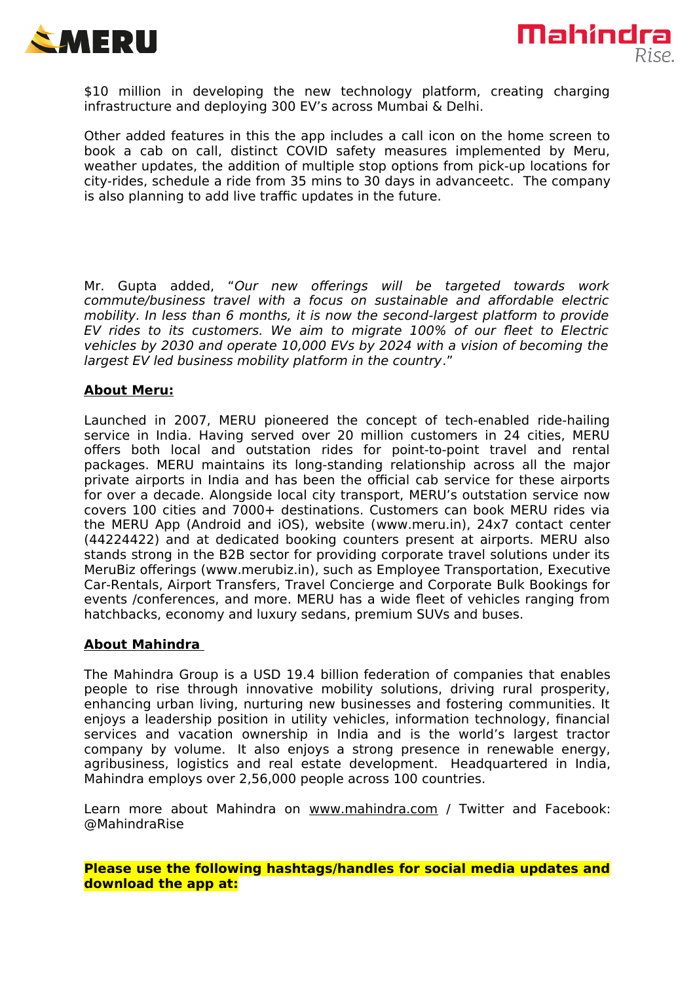



\$10 million in developing the new technology platform, creating charging infrastructure and deploying 300 EV's across Mumbai & Delhi.

Other added features in this the app includes a call icon on the home screen to book a cab on call, distinct COVID safety measures implemented by Meru, weather updates, the addition of multiple stop options from pick-up locations for city-rides, schedule a ride from 35 mins to 30 days in advanceetc. The company is also planning to add live traffic updates in the future.

Mr. Gupta added, "Our new offerings will be targeted towards work commute/business travel with a focus on sustainable and affordable electric mobility. In less than 6 months, it is now the second-largest platform to provide EV rides to its customers. We aim to migrate 100% of our fleet to Electric vehicles by 2030 and operate 10,000 EVs by 2024 with a vision of becoming the largest EV led business mobility platform in the country."

## **About Meru:**

Launched in 2007, MERU pioneered the concept of tech-enabled ride-hailing service in India. Having served over 20 million customers in 24 cities, MERU offers both local and outstation rides for point-to-point travel and rental packages. MERU maintains its long-standing relationship across all the major private airports in India and has been the official cab service for these airports for over a decade. Alongside local city transport, MERU's outstation service now covers 100 cities and 7000+ destinations. Customers can book MERU rides via the MERU App (Android and iOS), website [\(www.meru.in\)](http://www.meru.in/), 24x7 contact center (44224422) and at dedicated booking counters present at airports. MERU also stands strong in the B2B sector for providing corporate travel solutions under its MeruBiz offerings [\(www.merubiz.in\)](http://www.merubiz.in/), such as Employee Transportation, Executive Car-Rentals, Airport Transfers, Travel Concierge and Corporate Bulk Bookings for events /conferences, and more. MERU has a wide fleet of vehicles ranging from hatchbacks, economy and luxury sedans, premium SUVs and buses.

## **About Mahindra**

The Mahindra Group is a USD 19.4 billion federation of companies that enables people to rise through innovative mobility solutions, driving rural prosperity, enhancing urban living, nurturing new businesses and fostering communities. It enjoys a leadership position in utility vehicles, information technology, financial services and vacation ownership in India and is the world's largest tractor company by volume. It also enjoys a strong presence in renewable energy, agribusiness, logistics and real estate development. Headquartered in India, Mahindra employs over 2,56,000 people across 100 countries.

Learn more about Mahindra on [www.mahindra.com](http://www.mahindra.com/) / Twitter and Facebook: @MahindraRise

**Please use the following hashtags/handles for social media updates and download the app at:**